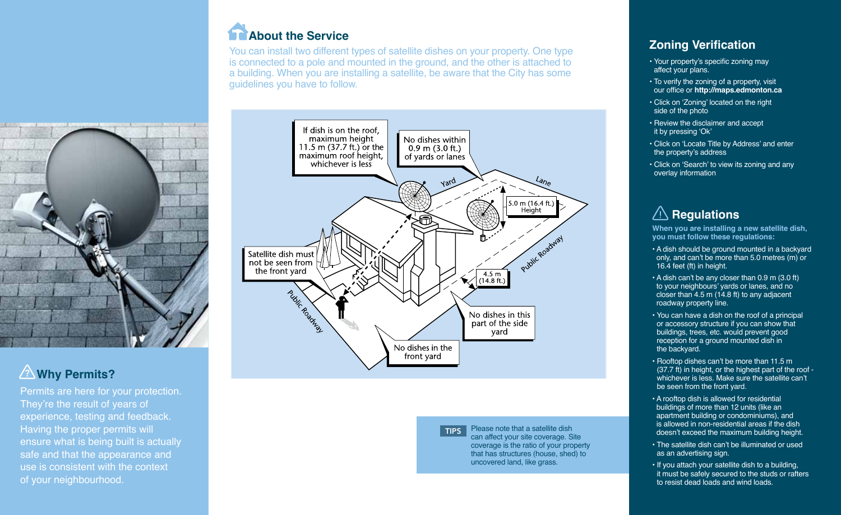

You can install two different types of satellite dishes on your property. One type is connected to a pole and mounted in the ground, and the other is attached to a building. When you are installing a satellite, be aware that the City has some guidelines you have to follow.



## **Why Permits?** ?

Permits are here for your protection. They're the result of years of experience, testing and feedback. Having the proper permits will ensure what is being built is actually safe and that the appearance and use is consistent with the context of your neighbourhood.





**TIPS** Please note that a satellite dish can affect your site coverage. Site coverage is the ratio of your property that has structures (house, shed) to uncovered land, like grass.

### **Zoning Verification**

- Your property's specific zoning may affect your plans.
- To verify the zoning of a property, visit our office or **http://maps.edmonton.ca**
- Click on 'Zoning' located on the right side of the photo
- Review the disclaimer and accept it by pressing 'Ok'
- Click on 'Locate Title by Address' and enter the property's address
- Click on 'Search' to view its zoning and any overlay information

## **Regulations**

**When you are installing a new satellite dish, you must follow these regulations:**

- A dish should be ground mounted in a backyard only, and can't be more than 5.0 metres (m) or 16.4 feet (ft) in height.
- A dish can't be any closer than 0.9 m (3.0 ft) to your neighbours' yards or lanes, and no closer than 4.5 m (14.8 ft) to any adjacent roadway property line.
- You can have a dish on the roof of a principal or accessory structure if you can show that buildings, trees, etc. would prevent good reception for a ground mounted dish in the backyard.
- Rooftop dishes can't be more than 11.5 m (37.7 ft) in height, or the highest part of the roof whichever is less. Make sure the satellite can't be seen from the front yard.
- A rooftop dish is allowed for residential buildings of more than 12 units (like an apartment building or condominiums), and is allowed in non-residential areas if the dish doesn't exceed the maximum building height.
- The satellite dish can't be illuminated or used as an advertising sign.
- If you attach your satellite dish to a building, it must be safely secured to the studs or rafters to resist dead loads and wind loads.